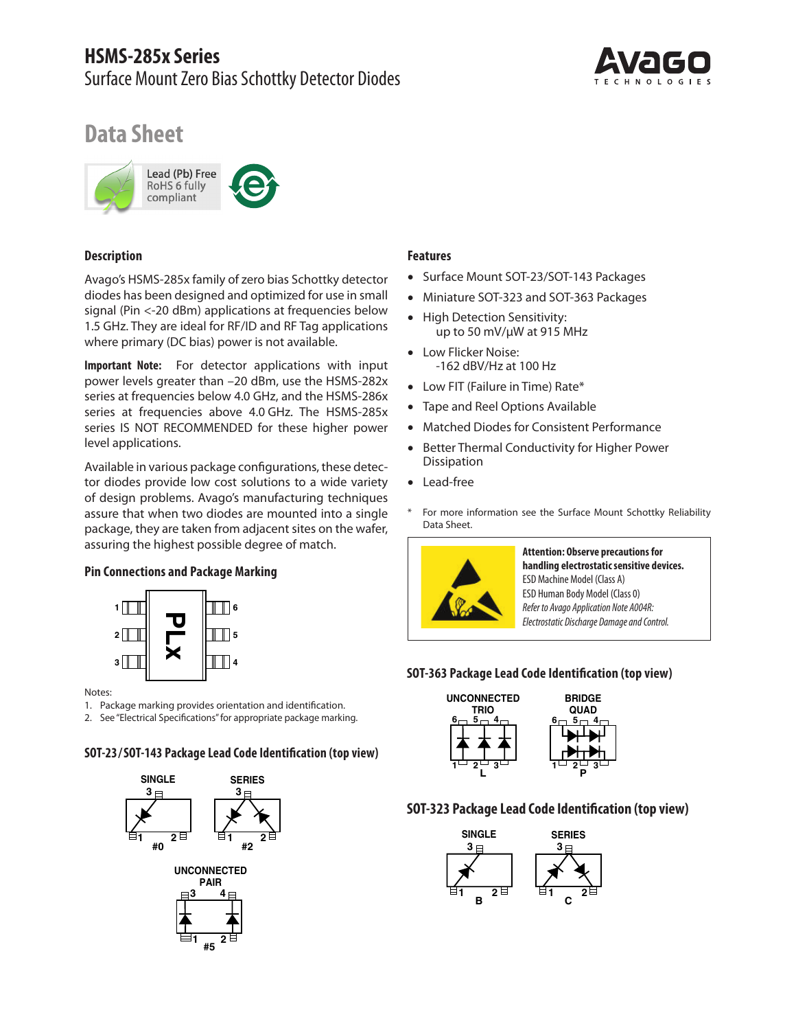

# **Data Sheet**



#### **Description**

Avago's HSMS-285x family of zero bias Schottky detector diodes has been designed and optimized for use in small signal (Pin <-20 dBm) applications at frequencies below 1.5 GHz. They are ideal for RF/ID and RF Tag applications where primary (DC bias) power is not available.

**Important Note:** For detector applications with input power levels greater than –20 dBm, use the HSMS-282x series at frequencies below 4.0 GHz, and the HSMS-286x series at frequencies above 4.0 GHz. The HSMS-285x series IS NOT RECOMMENDED for these higher power level applications.

Available in various package configurations, these detector diodes provide low cost solutions to a wide variety of design problems. Avago's manufacturing techniques assure that when two diodes are mounted into a single package, they are taken from adjacent sites on the wafer, assuring the highest possible degree of match.

### **Pin Connections and Package Marking**



Notes:

1. Package marking provides orientation and identification.

2. See "Electrical Specifications" for appropriate package marking.

#### **SOT-23 / SOT-143 Package Lead Code Identification (top view)**



#### **Features**

- Surface Mount SOT-23/SOT-143 Packages
- Miniature SOT-323 and SOT-363 Packages
- High Detection Sensitivity: up to 50 mV/µW at 915 MHz
- Low Flicker Noise: -162 dBV/Hz at 100 Hz
- Low FIT (Failure in Time) Rate\*
- Tape and Reel Options Available
- Matched Diodes for Consistent Performance
- Better Thermal Conductivity for Higher Power Dissipation
- Lead-free
- \* For more information see the Surface Mount Schottky Reliability Data Sheet.



**Attention: Observe precautions for handling electrostaticsensitive devices.** ESD Machine Model (Class A) ESD Human Body Model (Class 0) *Refer to Avago Application Note A004R: Electrostatic Discharge Damage and Control.*

### **SOT-363 Package Lead Code Identification (top view)**



### **SOT-323 Package Lead Code Identification (top view)**

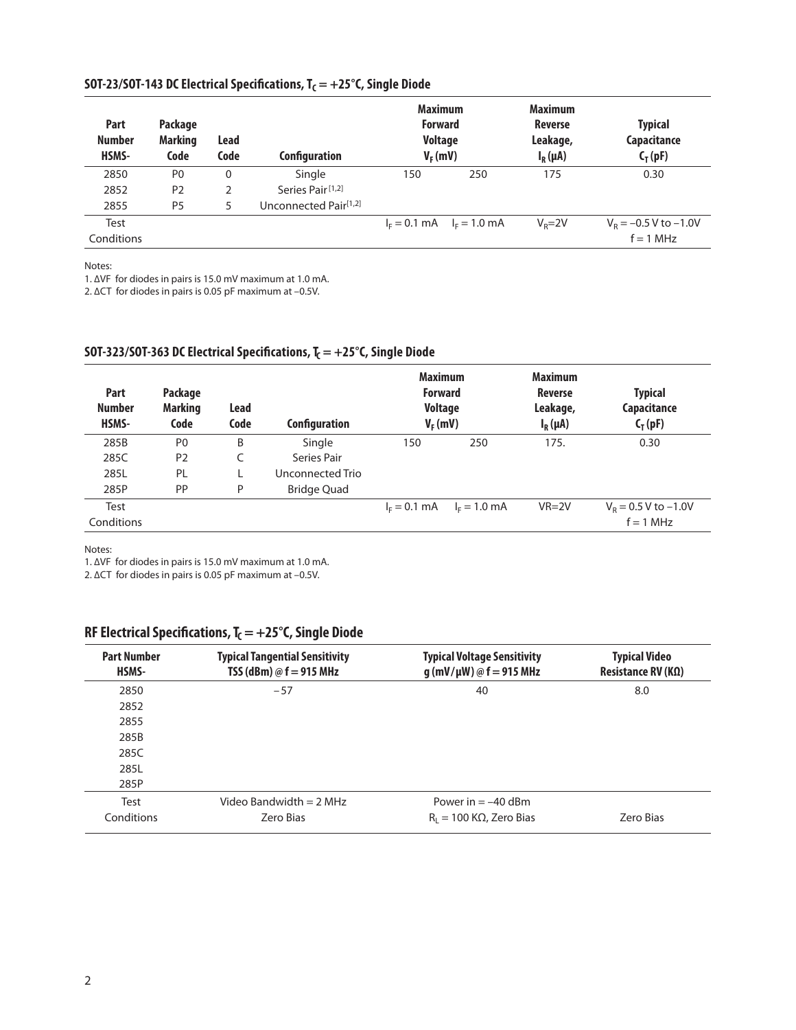| Part<br><b>Number</b><br>HSMS- | Package<br><b>Marking</b><br>Code | <b>Lead</b><br>Code | <b>Configuration</b>              | <b>Maximum</b><br><b>Forward</b><br><b>Voltage</b><br>$V_F$ (mV) |                               | <b>Maximum</b><br><b>Reverse</b><br>Leakage,<br>$I_R(\mu A)$ | <b>Typical</b><br>Capacitance<br>$C_T(pF)$ |
|--------------------------------|-----------------------------------|---------------------|-----------------------------------|------------------------------------------------------------------|-------------------------------|--------------------------------------------------------------|--------------------------------------------|
| 2850                           | P <sub>0</sub>                    | $\mathbf 0$         | Single                            | 150                                                              | 250                           | 175                                                          | 0.30                                       |
| 2852                           | P <sub>2</sub>                    | 2                   | Series Pair <sup>[1,2]</sup>      |                                                                  |                               |                                                              |                                            |
| 2855                           | P <sub>5</sub>                    | 5                   | Unconnected Pair <sup>[1,2]</sup> |                                                                  |                               |                                                              |                                            |
| Test                           |                                   |                     |                                   |                                                                  | $I_F = 0.1$ mA $I_F = 1.0$ mA | $V_{\rm p} = 2V$                                             | $V_R = -0.5 V$ to $-1.0V$                  |
| Conditions                     |                                   |                     |                                   |                                                                  |                               |                                                              | $f = 1$ MHz                                |

### SOT-23/SOT-143 DC Electrical Specifications, T<sub>C</sub> = +25°C, Single Diode

Notes:

1. ∆VF for diodes in pairs is 15.0 mV maximum at 1.0 mA.

2. ∆CT for diodes in pairs is 0.05 pF maximum at –0.5V.

### SOT-323/SOT-363 DC Electrical Specifications,  $T_c = +25^\circ C$ , Single Diode

| Part<br><b>Number</b><br>HSMS- | Package<br><b>Marking</b><br>Code | Lead<br>Code | Configuration      | <b>Maximum</b><br><b>Forward</b><br><b>Voltage</b><br>$V_F$ (mV) |                | <b>Maximum</b><br>Reverse<br>Leakage,<br>$I_R(\mu A)$ | <b>Typical</b><br>Capacitance<br>$C_T(pF)$ |
|--------------------------------|-----------------------------------|--------------|--------------------|------------------------------------------------------------------|----------------|-------------------------------------------------------|--------------------------------------------|
| 285B                           | P <sub>0</sub>                    | B            | Single             | 150                                                              | 250            | 175.                                                  | 0.30                                       |
| 285C                           | P <sub>2</sub>                    |              | Series Pair        |                                                                  |                |                                                       |                                            |
| 285L                           | PL                                |              | Unconnected Trio   |                                                                  |                |                                                       |                                            |
| 285P                           | <b>PP</b>                         | P            | <b>Bridge Quad</b> |                                                                  |                |                                                       |                                            |
| Test                           |                                   |              |                    | $I_F = 0.1$ mA                                                   | $I_F = 1.0$ mA | $VR = 2V$                                             | $V_R$ = 0.5 V to -1.0V                     |
| Conditions                     |                                   |              |                    |                                                                  |                |                                                       | $f = 1$ MHz                                |

Notes:

1. ∆VF for diodes in pairs is 15.0 mV maximum at 1.0 mA.

2. ∆CT for diodes in pairs is 0.05 pF maximum at –0.5V.

## RF Electrical Specifications, T<sub>C</sub> = +25°C, Single Diode

| <b>Part Number</b><br>HSMS- | <b>Typical Tangential Sensitivity</b><br>TSS (dBm) $\omega$ f = 915 MHz | <b>Typical Voltage Sensitivity</b><br>$g(mV/\mu W) @ f = 915 MHz$ | <b>Typical Video</b><br>Resistance RV ( $K\Omega$ ) |
|-----------------------------|-------------------------------------------------------------------------|-------------------------------------------------------------------|-----------------------------------------------------|
| 2850                        | $-57$                                                                   | 40                                                                | 8.0                                                 |
| 2852                        |                                                                         |                                                                   |                                                     |
| 2855                        |                                                                         |                                                                   |                                                     |
| 285B                        |                                                                         |                                                                   |                                                     |
| 285C                        |                                                                         |                                                                   |                                                     |
| 285L                        |                                                                         |                                                                   |                                                     |
| 285P                        |                                                                         |                                                                   |                                                     |
| Test                        | Video Bandwidth = $2$ MHz                                               | Power in $= -40$ dBm                                              |                                                     |
| Conditions                  | Zero Bias                                                               | $R_1 = 100 \text{ K}\Omega$ , Zero Bias                           | Zero Bias                                           |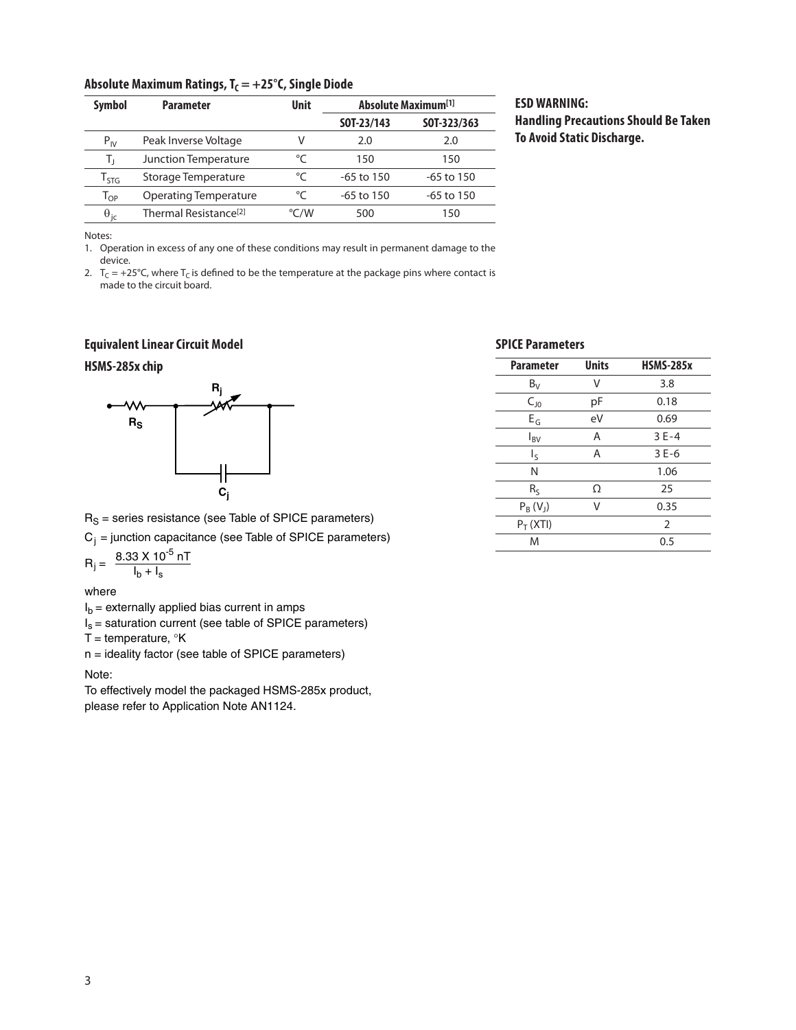#### Absolute Maximum Ratings, T<sub>C</sub> = +25°C, Single Diode

| <b>Symbol</b>               | <b>Parameter</b>                  | <b>Unit</b>   | <b>Absolute Maximum</b> <sup>[1]</sup> |              |
|-----------------------------|-----------------------------------|---------------|----------------------------------------|--------------|
|                             |                                   |               | SOT-23/143                             | SOT-323/363  |
| $P_{IV}$                    | Peak Inverse Voltage              | v             | 2.0                                    | 2.0          |
| т,                          | Junction Temperature              | °C            | 150                                    | 150          |
| $\mathsf{T}_{\mathsf{STG}}$ | Storage Temperature               | $^{\circ}C$   | $-65$ to 150                           | $-65$ to 150 |
| $\mathsf{T}_{\mathsf{OP}}$  | Operating Temperature             | °C            | $-65$ to 150                           | $-65$ to 150 |
| $\theta_{\rm ic}$           | Thermal Resistance <sup>[2]</sup> | $\degree$ C/W | 500                                    | 150          |

### **ESD WARNING: Handling Precautions Should Be Taken To Avoid Static Discharge.**

Notes:

1. Operation in excess of any one of these conditions may result in permanent damage to the device.

2.  $T_c = +25^{\circ}$ C, where  $T_c$  is defined to be the temperature at the package pins where contact is made to the circuit board.

#### **Equivalent Linear Circuit Model**

#### **HSMS-285x chip**



 $R<sub>S</sub>$  = series resistance (see Table of SPICE parameters)

 $C_i$  = junction capacitance (see Table of SPICE parameters)

 $R_j = \frac{8.33 \times 10^{-5} \text{ nT}}{1 \text{ h} + 1}$  $I_b + I_s$ 

where

 $I_b$  = externally applied bias current in amps

 $I_s$  = saturation current (see table of SPICE parameters)

T = temperature,  $\mathrm{R}$ K

n = ideality factor (see table of SPICE parameters)

#### Note:

To effectively model the packaged HSMS-285x product, please refer to Application Note AN1124.

### **SPICE Parameters**

| <b>Parameter</b> | <b>Units</b> | <b>HSMS-285x</b> |
|------------------|--------------|------------------|
| $B_V$            | V            | 3.8              |
| $C_{10}$         | рF           | 0.18             |
| $E_G$            | eV           | 0.69             |
| $I_{\rm BV}$     | A            | $3E-4$           |
| $I_{\sf S}$      | Α            | $3E-6$           |
| N                |              | 1.06             |
| $R_S$            | Ω            | 25               |
| $P_B(V_J)$       | V            | 0.35             |
| $P_T$ (XTI)      |              | $\overline{2}$   |
| M                |              | 0.5              |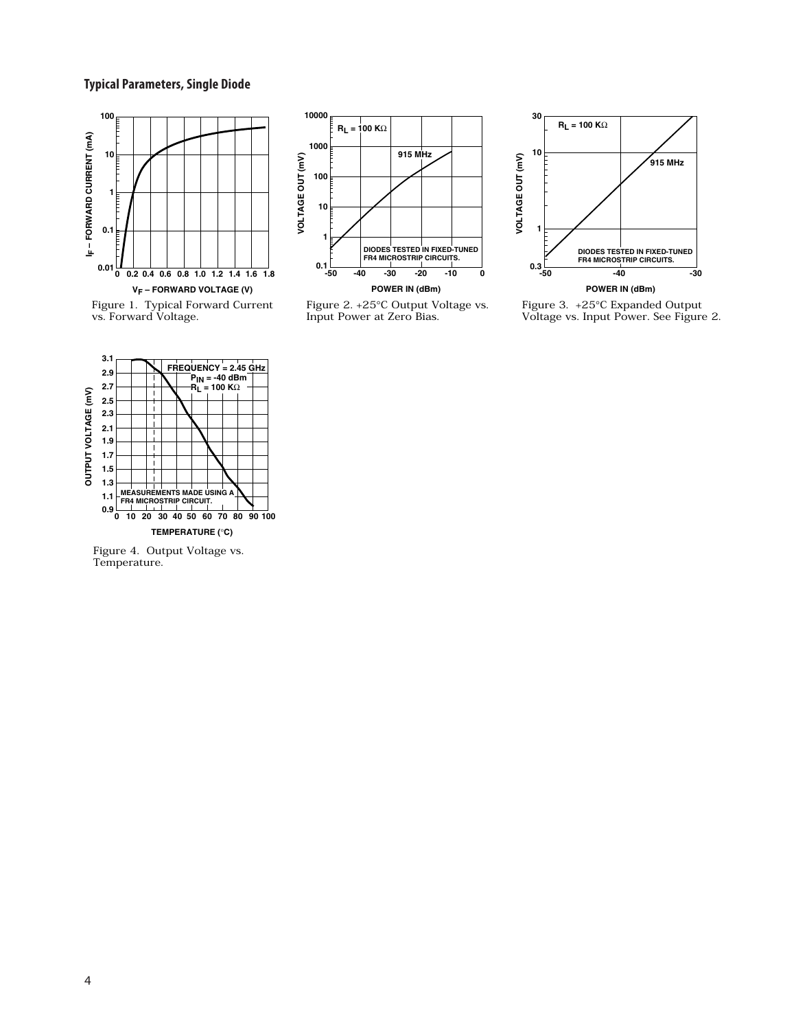#### **Typical Parameters, Single Diode**



Figure 1. Typical Forward Current vs. Forward Voltage.



Figure 2. +25°C Output Voltage vs. Input Power at Zero Bias.



Figure 3. +25°C Expanded Output Voltage vs. Input Power. See Figure 2.



Figure 4. Output Voltage vs. Temperature.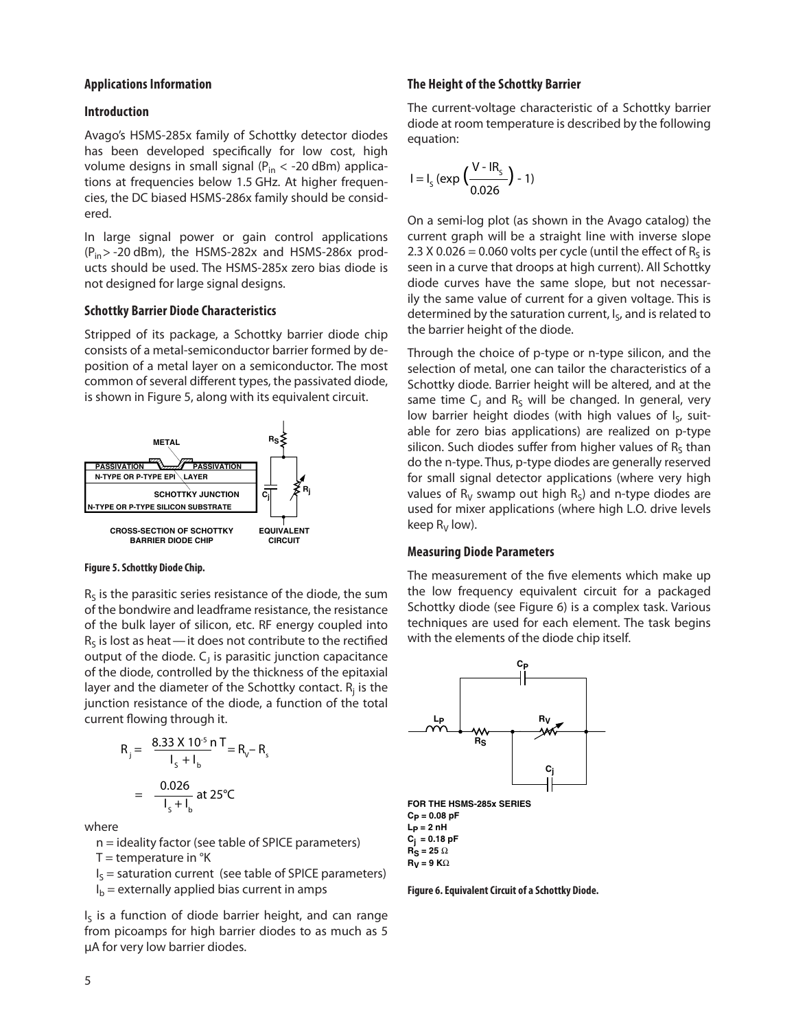#### **Applications Information**

#### **Introduction**

Avago's HSMS-285x family of Schottky detector diodes has been developed specifically for low cost, high volume designs in small signal ( $P_{in}$  < -20 dBm) applications at frequencies below 1.5 GHz. At higher frequencies, the DC biased HSMS-286x family should be considered.

In large signal power or gain control applications  $(P_{in} > -20$  dBm), the HSMS-282x and HSMS-286x products should be used. The HSMS-285x zero bias diode is not designed for large signal designs.

#### **Schottky Barrier Diode Characteristics**

Stripped of its package, a Schottky barrier diode chip consists of a metal-semiconductor barrier formed by deposition of a metal layer on a semiconductor. The most common of several different types, the passivated diode, is shown in Figure 5, along with its equivalent circuit.



#### **Figure 5. Schottky Diode Chip.**

of the bulk layer of silicon, etc. RF energy coupled into  $R<sub>s</sub>$  is the parasitic series resistance of the diode, the sum of the bondwire and leadframe resistance, the resistance  $R<sub>s</sub>$  is lost as heat  $-$  it does not contribute to the rectified output of the diode.  $C_1$  is parasitic junction capacitance of the diode, controlled by the thickness of the epitaxial layer and the diameter of the Schottky contact.  $R_j$  is the junction resistance of the diode, a function of the total current flowing through it.

$$
R_{j} = \frac{8.33 \times 10^{5} \text{ m}}{I_{s} + I_{b}} = R_{v} - R_{s}
$$

$$
= \frac{0.026}{I_{s} + I_{b}} \text{ at } 25^{\circ}C
$$

where

n = ideality factor (see table of SPICE parameters)<br>T = temperature in °K

 $T =$  temperature in  $\mathrm{R}$ 

- $I_{\mathsf{S}}$  = saturation current (see table of SPICE parameters)
- $I_b$  = externally applied bias current in amps

 $I_5$  is a function of diode barrier height, and can range from picoamps for high barrier diodes to as much as 5 f µA for very low barrier diodes.

### The Height of the Schottky Barrier  $\mathbb{R}^2$

The current-voltage characteristic of a Schottky barrier<br>diode at room temperature is described by the following diode at room temperature is described by the following<br>coustion: equation:

$$
I = I_{S} (exp \left( \frac{V - IR_{S}}{0.026} \right) - 1)
$$

On a semi-log plot (as shown in the Avago catalog) the 0.026 current graph will be a straight line with inverse slope 2.3  $\chi$  0.026 = 0.060 volts per cycle (until the effect of  $R_S$  is seen in a curve that droops at high current). All Schottky diode curves have the same slope, but not necessardiode curves have the same slope, but not necessar-<br>ily the same value of current for a given voltage. This is<br>determined by the saturation surrent L, and is related to determined by the saturation current, I<sub>S</sub>, and is related to the barrier height of the diode.

Through the choice of p-type or n-type silicon, and the selection of metal, one can tailor the characteristics of a Schottky diode. Barrier height will be altered, and at the same time  $C_J$  and  $R_S$  will be changed. In general, very low barrier height diodes (with high values of I<sub>S</sub>, suitable for zero bias applications) are realized on p-type silicon. Such diodes suffer from higher values of  $R<sub>S</sub>$  than do the n-type. Thus, p-type diodes are generally reserved for small signal detector applications (where very high values of  $R_V$  swamp out high  $R_S$ ) and n-type diodes are used for mixer applications (where high L.O. drive levels keep  $R_V$  low).

#### **Measuring Diode Parameters**

The measurement of the five elements which make up the low frequency equivalent circuit for a packaged Schottky diode (see Figure 6) is a complex task. Various techniques are used for each element. The task begins with the elements of the diode chip itself.



**FOR THE HSMS-285x SERIES CP = 0.08 pF**  $L_p = 2 nH$ **Cj = 0.18 pF**  $R_S = 25 \Omega$ **RV = 9 K**Ω

**Figure 6. Equivalent Circuit of a Schottky Diode.**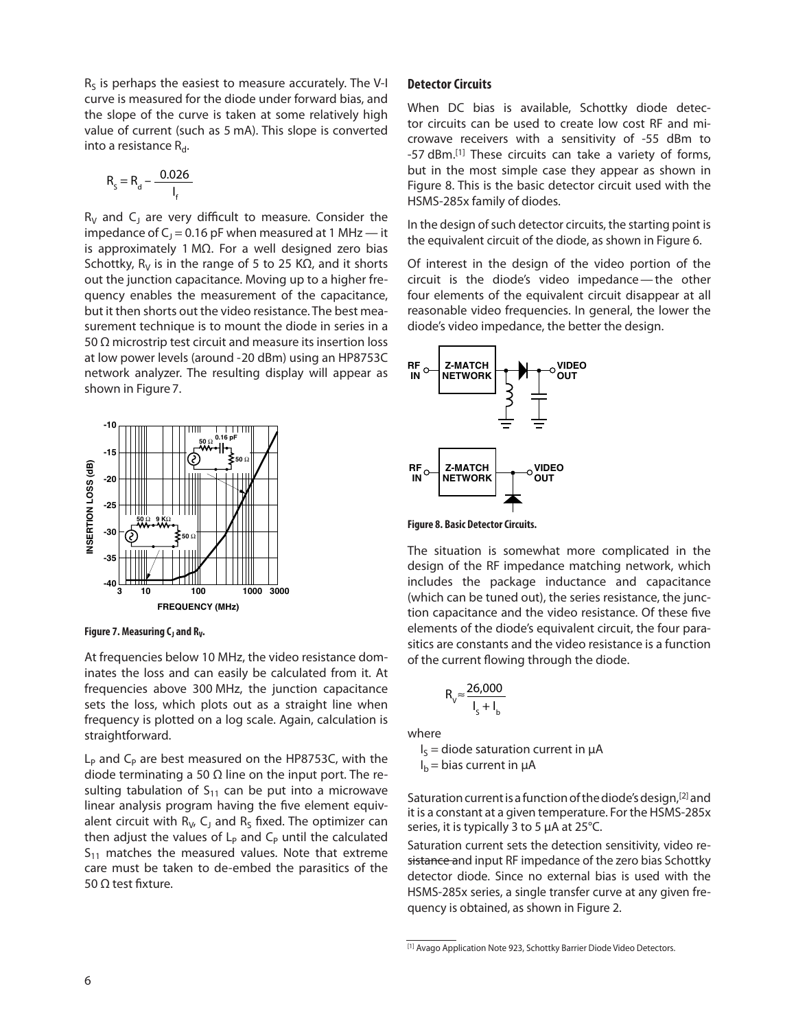$R_S$  is perhaps the easiest to measure accurately. The V-I curve is measured for the diode under forward bias, and the slope of the curve is taken at some relatively high<br>value of current (such as 5 mA) This slope is converted the slope of the curve is taken at some relatively high<br>value of current (such as 5 mA). This slope is converted value or current (sc<br>into a resistance  $R_{d}$ .

$$
R_{s} = R_{d} - \frac{0.026}{I_{f}}
$$

 $R_V$  and C<sub>1</sub> are very difficult to measure. Consider the impedance of  $C_1 = 0.16$  pF when measured at 1 MHz — it impedance of C<sub>J</sub> = 0.16 pF when measured at 1 MHz — it<br>is approximately 1 MΩ. For a well designed zero bias<br>Selettle Resignation of Fite 25 KQ and it design Schottky,  $R_V$  is in the range of 5 to 25 K $\Omega$ , and it shorts out the junction capacitance. Moving up to a higher frequency enables the measurement of the capacitance, but it then shorts out the video resistance. The best measurement technique is to mount the diode in series in a 50 Ω microstrip test circuit and measure its insertion loss at low power levels (around -20 dBm) using an HP8753C network analyzer. The resulting display will appear as shown in Figure 7.



**Figure 7. Measuring C<sub>1</sub> and R<sub>V</sub>.** 

At frequencies below 10 MHz, the video resistance dominates the loss and can easily be calculated from it. At frequencies above 300 MHz, the junction capacitance sets the loss, which plots out as a straight line when frequency is plotted on a log scale. Again, calculation is straightforward.

 $L_p$  and  $C_p$  are best measured on the HP8753C, with the diode terminating a 50 Ω line on the input port. The resulting tabulation of  $S_{11}$  can be put into a microwave linear analysis program having the five element equivalent circuit with  $R_V$ , C<sub>J</sub> and  $R_S$  fixed. The optimizer can then adjust the values of  $L_p$  and  $C_p$  until the calculated  $S_{11}$  matches the measured values. Note that extreme care must be taken to de-embed the parasitics of the 50 Ω test fixture.

#### **Detector Circuits**

When DC bias is available, Schottky diode detector circuits can be used to create low cost RF and microwave receivers with a sensitivity of -55 dBm to -57 dBm.[1] These circuits can take a variety of forms, but in the most simple case they appear as shown in Figure 8. This is the basic detector circuit used with the HSMS-285x family of diodes.

In the design of such detector circuits, the starting point is the equivalent circuit of the diode, as shown in Figure 6.

Of interest in the design of the video portion of the circuit is the diode's video impedance — the other four elements of the equivalent circuit disappear at all reasonable video frequencies. In general, the lower the diode's video impedance, the better the design.



ا<br>.Figure 8. Basic Detector Circuits<br>.

The situation is somewhat more complicated in the design of the RF impedance matching network, which design of the RF impedance matching network, which<br>includes the package inductance and capacitance (which can be tuned out), the series resistance, the junc-0.026 tion capacitance and the video resistance. Of these five elements of the diode's equivalent circuit, the four paraelements of the diode's equivalent clicuit, the four para-<br>sitics are constants and the video resistance is a function of the current flowing through the diode. f

$$
R_{V} \approx \frac{26,000}{I_{S} + I_{b}}
$$

where

 $I_S$  = diode saturation current in  $\mu A$ 

 $I_b$  = bias current in  $\mu A$ 

Saturation current is a function of the diode's design,[2] and it is a constant at a given temperature. For the HSMS-285x series, it is typically 3 to 5 µA at 25°C.

Saturation current sets the detection sensitivity, video resistance and input RF impedance of the zero bias Schottky detector diode. Since no external bias is used with the HSMS-285x series, a single transfer curve at any given frequency is obtained, as shown in Figure 2.

<sup>[1]</sup> Avago Application Note 923, Schottky Barrier Diode Video Detectors.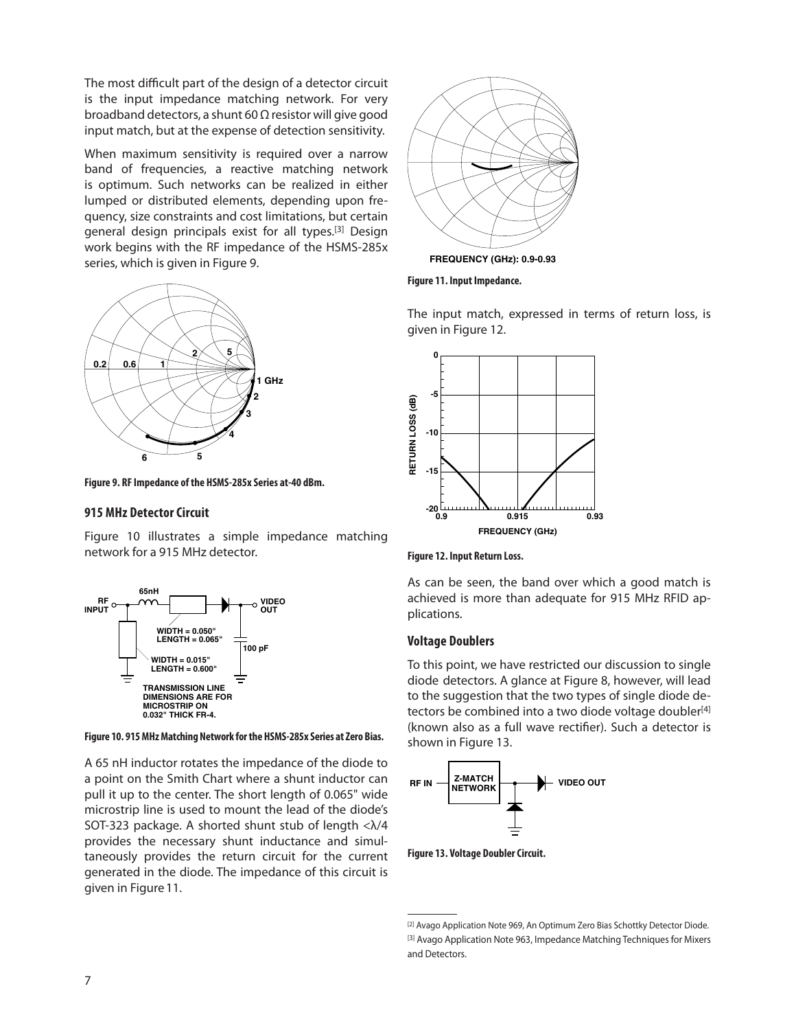The most difficult part of the design of a detector circuit is the input impedance matching network. For very broadband detectors, a shunt 60  $\Omega$  resistor will give good input match, but at the expense of detection sensitivity.

When maximum sensitivity is required over a narrow band of frequencies, a reactive matching network is optimum. Such networks can be realized in either lumped or distributed elements, depending upon frequency, size constraints and cost limitations, but certain general design principals exist for all types.[3] Design work begins with the RF impedance of the HSMS-285x series, which is given in Figure 9.



**Figure 9. RF Impedance of the HSMS-285x Series at-40 dBm.** 

#### **915 MHz Detector Circuit**

Figure 10 illustrates a simple impedance matching network for a 915 MHz detector.



Figure 10. 915 MHz Matching Network for the HSMS-285x Series at Zero Bias.

a point on the Smith Chart where a shunt inductor can A 65 nH inductor rotates the impedance of the diode to pull it up to the center. The short length of 0.065" wide microstrip line is used to mount the lead of the diode's SOT-323 package. A shorted shunt stub of length <λ/4 provides the necessary shunt inductance and simultaneously provides the return circuit for the current generated in the diode. The impedance of this circuit is given in Figure 11.



**Figure 11. Input Impedance.**

The input match, expressed in terms of return loss, is given in Figure 12.





As can be seen, the band over which a good match is achieved is more than adequate for 915 MHz RFID applications.

#### **Voltage Doublers**

To this point, we have restricted our discussion to single diode detectors. A glance at Figure 8, however, will lead to the suggestion that the two types of single diode detectors be combined into a two diode voltage doubler<sup>[4]</sup> (known also as a full wave rectifier). Such a detector is shown in Figure 13.



**Figure 13. Voltage Doubler Circuit.**

<sup>[2]</sup> Avago Application Note 969, An Optimum Zero Bias Schottky Detector Diode. [3] Avago Application Note 963, Impedance Matching Techniques for Mixers and Detectors.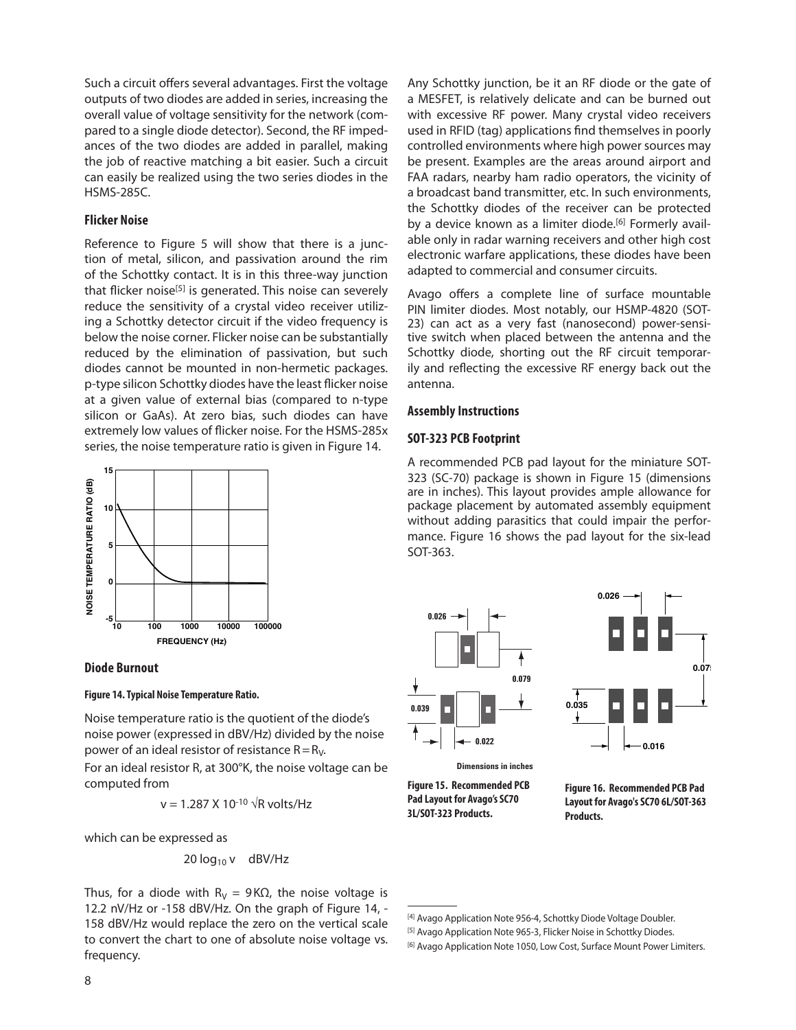Such a circuit offers several advantages. First the voltage outputs of two diodes are added in series, increasing the overall value of voltage sensitivity for the network (compared to a single diode detector). Second, the RF impedances of the two diodes are added in parallel, making the job of reactive matching a bit easier. Such a circuit can easily be realized using the two series diodes in the HSMS-285C.

#### **Flicker Noise**

Reference to Figure 5 will show that there is a junction of metal, silicon, and passivation around the rim of the Schottky contact. It is in this three-way junction that flicker noise<sup>[5]</sup> is generated. This noise can severely reduce the sensitivity of a crystal video receiver utilizing a Schottky detector circuit if the video frequency is below the noise corner. Flicker noise can be substantially reduced by the elimination of passivation, but such diodes cannot be mounted in non-hermetic packages. p-type silicon Schottky diodes have the least flicker noise at a given value of external bias (compared to n-type silicon or GaAs). At zero bias, such diodes can have extremely low values of flicker noise. For the HSMS-285x series, the noise temperature ratio is given in Figure 14.



#### **Diode Burnout**

#### **Figure 14. Typical Noise Temperature Ratio.**

Noise temperature ratio is the quotient of the diode's noise power (expressed in dBV/Hz) divided by the noise power of an ideal resistor of resistance  $R=R_V$ .

For an ideal resistor R, at 300°K, the noise voltage can be computed from

$$
v = 1.287 \times 10^{-10} \sqrt{R} \text{ volts/Hz}
$$

which can be expressed as

$$
20 \log_{10} v \quad \text{dBV/Hz}
$$

Thus, for a diode with  $R_V = 9K\Omega$ , the noise voltage is 12.2 nV/Hz or -158 dBV/Hz. On the graph of Figure 14, - 158 dBV/Hz would replace the zero on the vertical scale to convert the chart to one of absolute noise voltage vs. frequency.

Any Schottky junction, be it an RF diode or the gate of a MESFET, is relatively delicate and can be burned out with excessive RF power. Many crystal video receivers used in RFID (tag) applications find themselves in poorly controlled environments where high power sources may be present. Examples are the areas around airport and FAA radars, nearby ham radio operators, the vicinity of a broadcast band transmitter, etc. In such environments, the Schottky diodes of the receiver can be protected by a device known as a limiter diode.<sup>[6]</sup> Formerly available only in radar warning receivers and other high cost electronic warfare applications, these diodes have been adapted to commercial and consumer circuits.

Avago offers a complete line of surface mountable PIN limiter diodes. Most notably, our HSMP-4820 (SOT-23) can act as a very fast (nanosecond) power-sensitive switch when placed between the antenna and the Schottky diode, shorting out the RF circuit temporarily and reflecting the excessive RF energy back out the antenna.

#### **Assembly Instructions**

#### **SOT-323 PCB Footprint**

A recommended PCB pad layout for the miniature SOT-323 (SC-70) package is shown in Figure 15 (dimensions are in inches). This layout provides ample allowance for package placement by automated assembly equipment without adding parasitics that could impair the performance. Figure 16 shows the pad layout for the six-lead SOT-363.





**Dimensions in inches** 

**Figure 15. Recommended PCB Pad Layout for Avago's SC70 3L/SOT-323 Products.**

**Figure 16. Recommended PCB Pad Layout for Avago's SC70 6L/SOT-363 Products.**

<sup>[4]</sup> Avago Application Note 956-4, Schottky Diode Voltage Doubler.

<sup>[5]</sup> Avago Application Note 965-3, Flicker Noise in Schottky Diodes.

<sup>[6]</sup> Avago Application Note 1050, Low Cost, Surface Mount Power Limiters.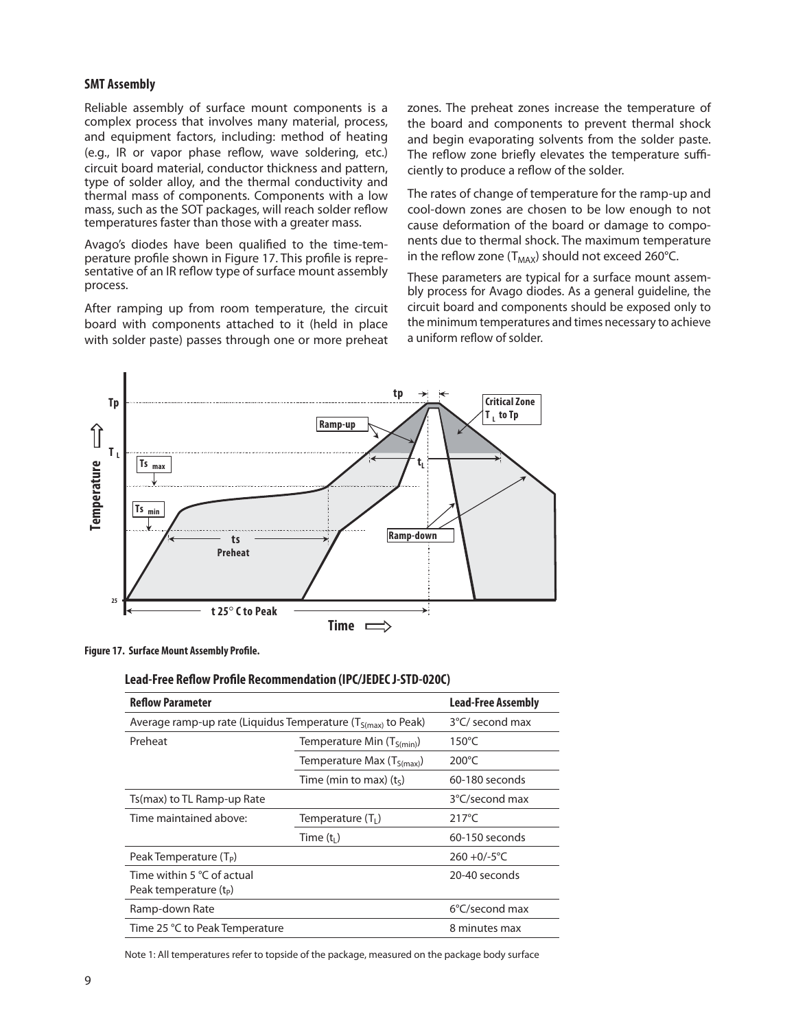#### **SMT Assembly**

Reliable assembly of surface mount components is a complex process that involves many material, process, and equipment factors, including: method of heating (e.g., IR or vapor phase reflow, wave soldering, etc.) circuit board material, conductor thickness and pattern, type of solder alloy, and the thermal conductivity and thermal mass of components. Components with a low mass, such as the SOT packages, will reach solder reflow temperatures faster than those with a greater mass.

Avago's diodes have been qualified to the time-temperature profile shown in Figure 17. This profile is representative of an IR reflow type of surface mount assembly process.

After ramping up from room temperature, the circuit board with components attached to it (held in place with solder paste) passes through one or more preheat

zones. The preheat zones increase the temperature of the board and components to prevent thermal shock and begin evaporating solvents from the solder paste. The reflow zone briefly elevates the temperature sufficiently to produce a reflow of the solder.

The rates of change of temperature for the ramp-up and cool-down zones are chosen to be low enough to not cause deformation of the board or damage to components due to thermal shock. The maximum temperature in the reflow zone ( $T_{MAX}$ ) should not exceed 260°C.

These parameters are typical for a surface mount assembly process for Avago diodes. As a general guideline, the circuit board and components should be exposed only to the minimum temperatures and times necessary to achieve a uniform reflow of solder.



**Figure 17. Surface Mount Assembly Profile.**

#### **Lead-Free Reflow Profile Recommendation (IPC/JEDEC J-STD-020C)**

| <b>Reflow Parameter</b>                                           | <b>Lead-Free Assembly</b>      |                 |
|-------------------------------------------------------------------|--------------------------------|-----------------|
| Average ramp-up rate (Liquidus Temperature $(T_{S(max)}$ to Peak) | 3°C/ second max                |                 |
| Preheat                                                           | Temperature Min $(T_{S(min)})$ | $150^{\circ}$ C |
|                                                                   | Temperature Max $(T_{S(max)})$ | $200^{\circ}$ C |
|                                                                   | Time (min to max) $(ts)$       | 60-180 seconds  |
| Ts(max) to TL Ramp-up Rate                                        |                                | 3°C/second max  |
| Time maintained above:                                            | Temperature $(T_1)$            | $217^{\circ}$ C |
|                                                                   | Time $(t1)$                    | 60-150 seconds  |
| Peak Temperature (T <sub>p</sub> )                                |                                | $260 + 0/-5$ °C |
| Time within 5 $\degree$ C of actual<br>Peak temperature $(t_{p})$ |                                | 20-40 seconds   |
| Ramp-down Rate                                                    |                                | 6°C/second max  |
| Time 25 °C to Peak Temperature                                    |                                | 8 minutes max   |

Note 1: All temperatures refer to topside of the package, measured on the package body surface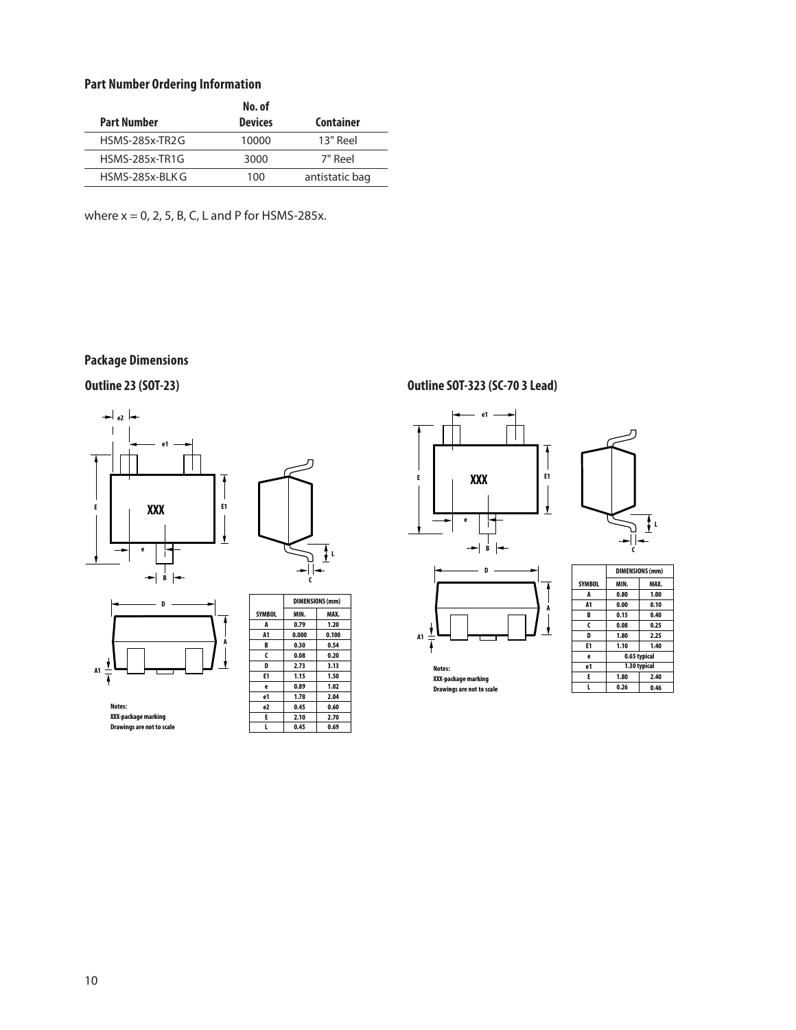#### **Part Number Ordering Information**

|                       | No. of         |                |
|-----------------------|----------------|----------------|
| <b>Part Number</b>    | <b>Devices</b> | Container      |
| <b>HSMS-285x-TR2G</b> | 10000          | $13"$ Reel     |
| <b>HSMS-285x-TR1G</b> | 3000           | 7" Reel        |
| HSMS-285x-BLK G       | 100            | antistatic bag |

where  $x = 0$ , 2, 5, B, C, L and P for HSMS-285x.

### **Package Dimensions**







**Notes: XXX-packagemarking Drawings are not to scale**

| <b>SYMBOL</b>  | MIN.  | MAX.  |
|----------------|-------|-------|
| A              | 0.79  | 1.20  |
| A <sub>1</sub> | 0.000 | 0.100 |
| B              | 0.30  | 0.54  |
| C              | 0.08  | 0.20  |
| D              | 2.73  | 3.13  |
| E1             | 1.15  | 1.50  |
| e              | 0.89  | 1.02  |
| e1             | 1.78  | 2.04  |
| e2             | 0.45  | 0.60  |
| E              | 2.10  | 2.70  |
|                | 0.45  | 0.69  |

 $\overline{\phantom{a}}$ 

**DIMENSIONS(mm)**

### **Outline 23 (SOT-23) Outline SOT-323 (SC-70 3 Lead)**



**A1**

I ł

> **Notes: XXX-packagemarking Drawings are not to scale**

**A**

t



 $\frac{1}{2}$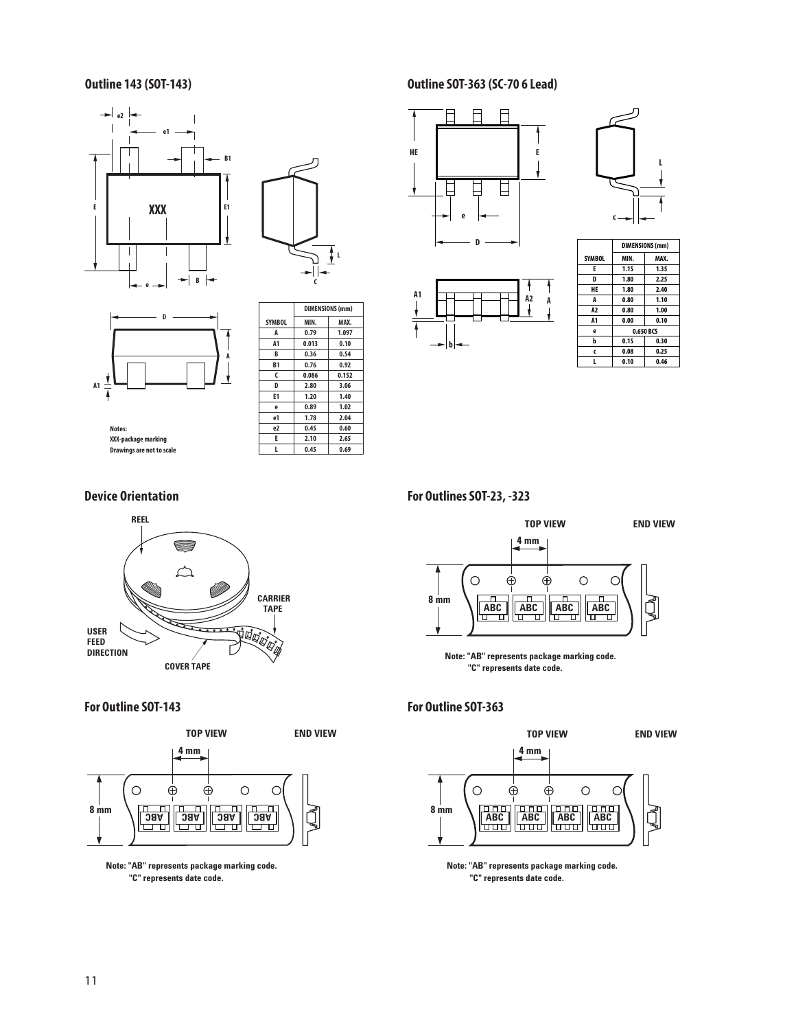





| <b>SYMBOL</b>  | MIN.  | MAX.  |
|----------------|-------|-------|
| A              | 0.79  | 1.097 |
| A <sub>1</sub> | 0.013 | 0.10  |
| B              | 0.36  | 0.54  |
| <b>B1</b>      | 0.76  | 0.92  |
| C              | 0.086 | 0.152 |
| D              | 2.80  | 3.06  |
| E1             | 1.20  | 1.40  |
| e              | 0.89  | 1.02  |
| e1             | 1.78  | 2.04  |
| e <sub>2</sub> | 0.45  | 0.60  |
| E              | 2.10  | 2.65  |
|                | 0.45  | 0.69  |

 $\sqrt{ }$ 

**DIMENSIONS (mm)**

**Notes: XXX-package marking Drawings are not to scale**

| <b>Device Orientation</b> |
|---------------------------|



**For Outline SOT-143**



**Note: "AB" represents package marking code. "C" represents date code.**

### **Outline 143 (SOT-143) Outline SOT-363 (SC-70 6 Lead)**





**A1**





**For Outlines SOT-23, -323**



**Note: "AB" represents package marking code. "C" represents date code.**

#### **For Outline SOT-363**



**Note: "AB" represents package marking code. "C" represents date code.**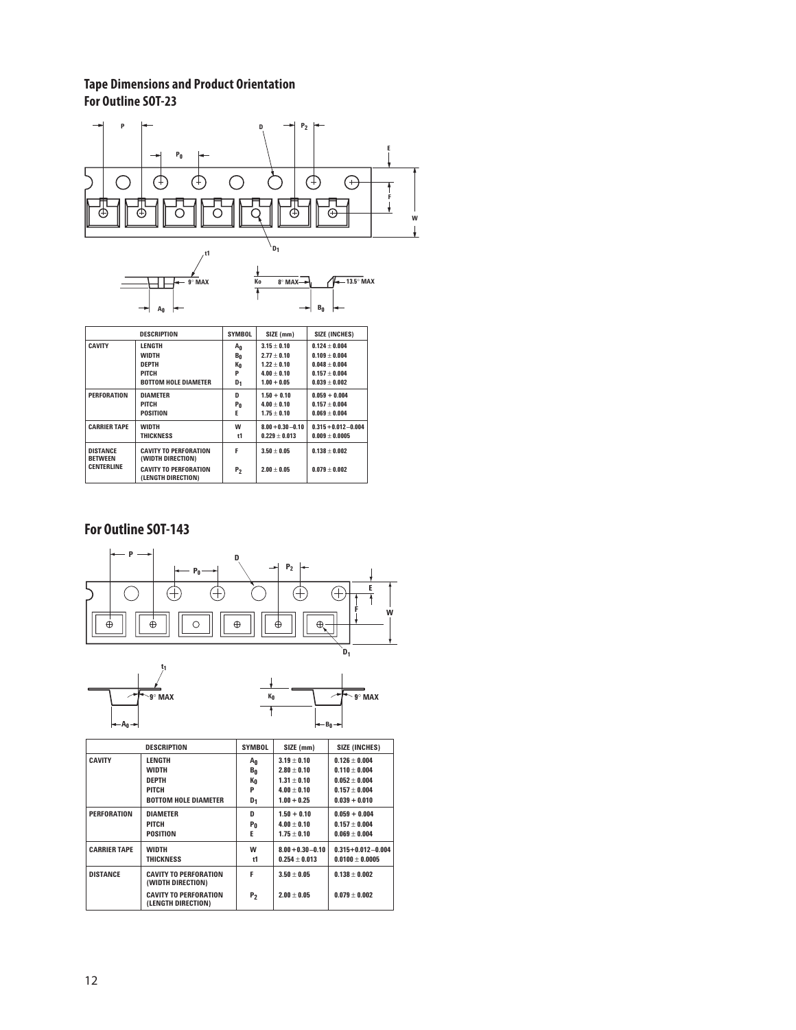### **Tape Dimensions and Product Orientation For Outline SOT-23**



|                                   | <b>DESCRIPTION</b>                                 | <b>SYMBOL</b>  | SIZE (mm)            | <b>SIZE (INCHES)</b>    |
|-----------------------------------|----------------------------------------------------|----------------|----------------------|-------------------------|
| <b>CAVITY</b>                     | LENGTH                                             | Αn             | $3.15 + 0.10$        | $0.124 + 0.004$         |
|                                   | <b>WIDTH</b>                                       | $B_0$          | $2.77 + 0.10$        | $0.109 + 0.004$         |
|                                   | <b>DEPTH</b>                                       | Кo             | $1.22 + 0.10$        | $0.048 + 0.004$         |
|                                   | <b>PITCH</b>                                       | P              | $4.00 + 0.10$        | $0.157 + 0.004$         |
|                                   | <b>BOTTOM HOLE DIAMETER</b>                        | D <sub>1</sub> | $1.00 + 0.05$        | $0.039 + 0.002$         |
| <b>PERFORATION</b>                | <b>DIAMETER</b>                                    | D              | $1.50 + 0.10$        | $0.059 + 0.004$         |
|                                   | PITCH                                              | P <sub>0</sub> | $4.00 + 0.10$        | $0.157 + 0.004$         |
|                                   | <b>POSITION</b>                                    | E              | $1.75 + 0.10$        | $0.069 \pm 0.004$       |
| <b>CARRIER TAPE</b>               | <b>WIDTH</b>                                       | w              | $8.00 + 0.30 - 0.10$ | $0.315 + 0.012 - 0.004$ |
|                                   | THICKNESS                                          | t1             | $0.229 + 0.013$      | $0.009 + 0.0005$        |
| <b>DISTANCE</b><br><b>BETWEEN</b> | <b>CAVITY TO PERFORATION</b><br>(WIDTH DIRECTION)  | F              | $3.50 + 0.05$        | $0.138 + 0.002$         |
| <b>CENTERLINE</b>                 | <b>CAVITY TO PERFORATION</b><br>(LENGTH DIRECTION) | P <sub>2</sub> | $2.00 + 0.05$        | $0.079 \pm 0.002$       |

### **For Outline SOT-143**





|                     | <b>DESCRIPTION</b>                                 | <b>SYMBOL</b>       | SIZE (mm)                               | <b>SIZE (INCHES)</b>                         |
|---------------------|----------------------------------------------------|---------------------|-----------------------------------------|----------------------------------------------|
| <b>CAVITY</b>       | <b>LENGTH</b>                                      | Αn                  | $3.19 + 0.10$                           | $0.126 + 0.004$                              |
|                     | <b>WIDTH</b><br><b>DEPTH</b>                       | $B_0$<br>Кō         | $2.80 + 0.10$<br>$1.31 + 0.10$          | $0.110 + 0.004$<br>$0.052 + 0.004$           |
|                     | PITCH<br><b>BOTTOM HOLE DIAMETER</b>               | P<br>D <sub>1</sub> | $4.00 + 0.10$<br>$1.00 + 0.25$          | $0.157 + 0.004$<br>$0.039 + 0.010$           |
| PERFORATION         | <b>DIAMETER</b>                                    | D                   | $1.50 + 0.10$                           | $0.059 + 0.004$                              |
|                     | PITCH                                              | Pn                  | $4.00 + 0.10$                           | $0.157 + 0.004$                              |
|                     | POSITION                                           | Е                   | $1.75 + 0.10$                           | $0.069 + 0.004$                              |
| <b>CARRIER TAPE</b> | <b>WIDTH</b><br><b>THICKNESS</b>                   | W<br>t1             | $8.00 + 0.30 - 0.10$<br>$0.254 + 0.013$ | $0.315 + 0.012 - 0.004$<br>$0.0100 + 0.0005$ |
| <b>DISTANCE</b>     | <b>CAVITY TO PERFORATION</b><br>(WIDTH DIRECTION)  | F                   | $3.50 + 0.05$                           | $0.138 + 0.002$                              |
|                     | <b>CAVITY TO PERFORATION</b><br>(LENGTH DIRECTION) | P <sub>2</sub>      | $2.00 + 0.05$                           | $0.079 + 0.002$                              |